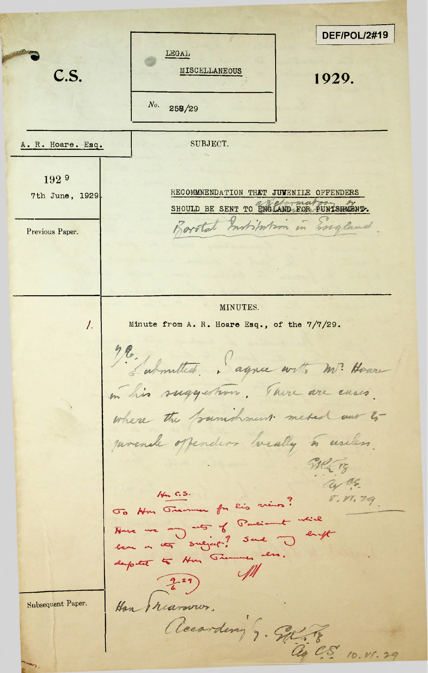**DEF/POL/2#19 LEGAL** C.S. **c.s. c.s. c.s. c.s. c.s. c.s. c.s. c.s. c.s. c.s. c.s. c.s. c.s. c.s. c.s. c.s. c.s. c.s. c.s. c.s. c.s. c.s. c.s. c.s. c.s. c.s. c.s. c.s. c.s. c.s. c.s.** *No.* 258/29 A, R, Hoare, Esq, SUBJECT. 192 <sup>9</sup> RECOMMNENDATION THET JUVENILE OFFENDERS 7th June, 1929.SHOULD BE SENT TO ENGLAND FOR PUNISHMENT. Barotat Institution in England Previous Paper. MINUTES. /. Minute from A. R. **Hoare Esq., of the 7/7/29.** agnee with m? He in his suggestion. There are even. where the founishment meted our to lly to usek  $\widetilde{\mathscr{W}}$  13 a cs.  $14. C.S.$ 8. VI. 29 Jo Non Jiemen for lis views? To Non Tremmer for this was a will<br>Note we any note of Parecount while<br>deep the surgeof! Send in druft  $\mathscr{M}$  $\frac{2}{6}$  29) Han preuvanos. Subsequent Paper. according's. Sel ay C.S. 10. V1. 29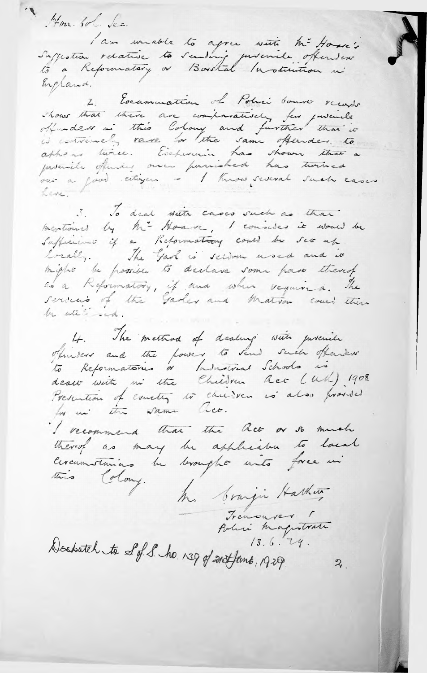Hon lot dec. Suffestion relative to sending puremile offenders England. 2. Examination of Polici bouver receipt obtendant in this Colony and further that is appear twice. Eschwanic has shown that a vue a good citizen - I know several such cases Leve. 3. To deal write cases such as that mentioned by hi- Houve, I consider it would be Sufficient if a Reformation could be see up breakly. The Gaoh is scion word and it might be possible to declare some para thereof services of the Garler and Matrix could then be utili ed. 4. The meeting of dealing with judenile oficious and the fower to send such offeries dealt with in the Children Que (UM) 1908. Presention of escreting to children is also provided I recommend that the Ret or so much thereof as may be applicable to local circumstances be brought unto force in this Colony. M. branju Harhen Trenouver 1 Polici magnotrati  $13.6.74.$ Doctatch to S of S. ho. 139 of 21 Hans, 1929.  $\boldsymbol{\mathcal{Z}}$  .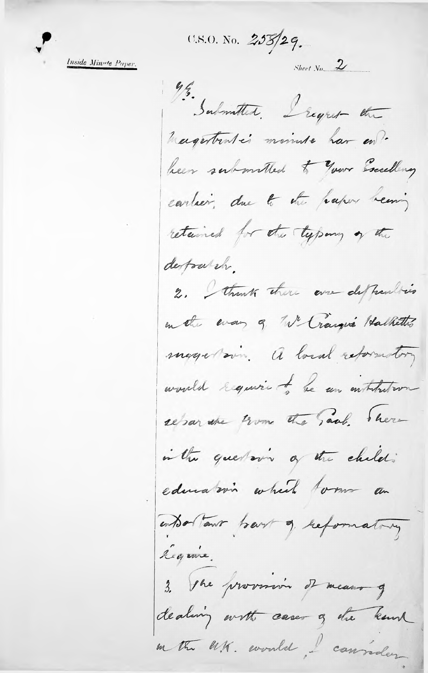U.S.O. No. 258/29.

Inside Minute Paper.

 $Sheet\ No$  2 Submitted. Legret the magestratés mainte har en? been submitted to your Excelling cartier, due to the paper beaning retained for the typony of the derfoarsh. 2. Strenk there are deffeculties en the every of We Cranque Halkettis magation. A local reformatory would require to be an institution reparate trom the saal been in the questoring of the child : education which tom an entor Tour bart of reformating legune. 3. The provincin of means of dealing with cases of the know en tre U.K. eventel, l'cannader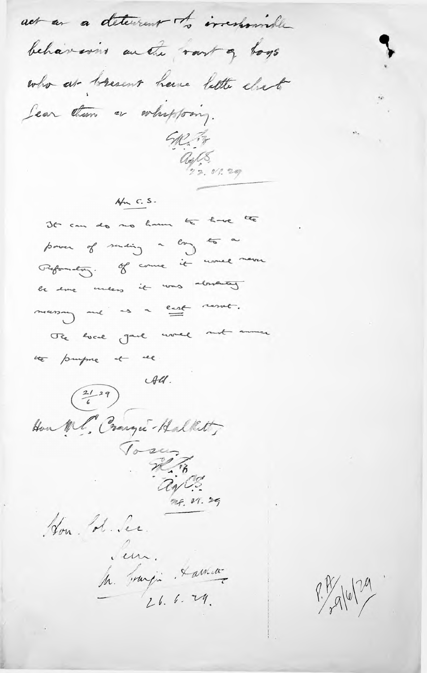act as a determent of irresponsible behaverns an the rant of togs who ar bresent have lette elset Lear dum a whapping. SAL Pr ages 01.29  $4m$   $c. s.$ It can do no have to have the power of sureing a long to a Reformation. Of course it would make le sure unes it was absented meaning and us a cast result. The local gard would not among the purpose of me.  $\frac{21}{6}$  and  $\frac{44}{6}$ Hon Ml. Cranger - Hallet To 24. 18 Hon de Je Surgin Lamen  $9.14$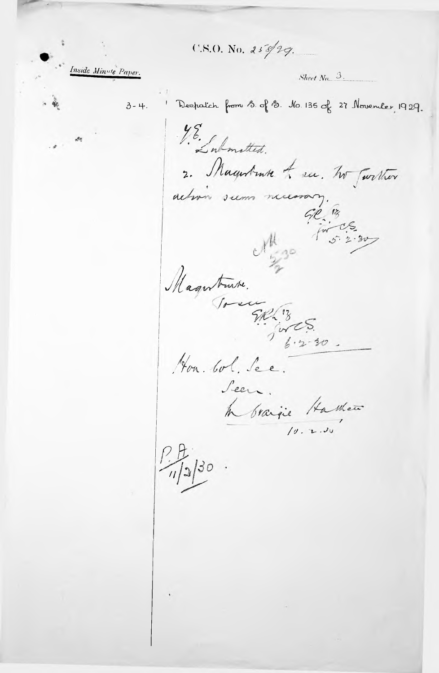$C.S.O.$  No. 258/29.

Inside Minute Paper.

3-4. Despaich from S. of S. No. 135 of 27 November, 1929.

Sheet  $N_0$   $\beta$ .

YE . Information. 2. Magntruk to see. To Twitter action seems necessary. GR 18  $M_{2^{30}}$ Magntante. Hon bol. See. Seen. h braigie Hashew  $\frac{1}{\sqrt{2}}$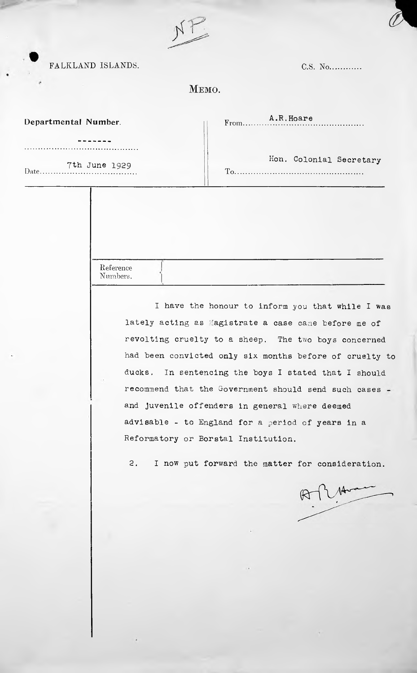FALKLAND ISLANDS.

| C.S. No |
|---------|
|         |

## MEMO.

| Departmental Number. | A.R. Hoare |
|----------------------|------------|
|                      |            |

. . . . . . . . . . . . . . . . .

. . . . . . . . . . . . . . *. .* . . Date...........

Th June 1929 Hon. Colonial Secretary Hon. Colonial Secretary

Reference Numbers.

> I have the honour to inform you that while I was lately acting as Magistrate a case came before me of revolting cruelty to a sheep. The two boys concerned had been convicted only six.months before of cruelty to ducks. In sentencing the boys <sup>I</sup> stated that <sup>I</sup> should recommend that the Government should send such cases and juvenile offenders in general where deemed advisable - to England for a period of years in a Reformatory or Borstal Institution.

2. I now put forward the matter for consideration.

 $Rf147$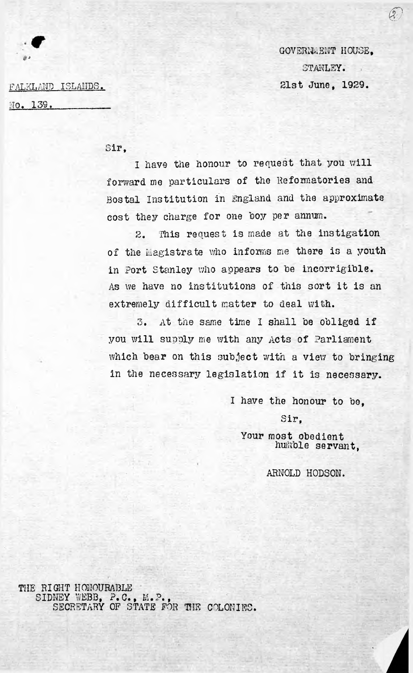GOVERNMENT HOUSE, STANLEY. 25

*©*

FALKLAND ISLANDS. 21st June, 1929.

NO. 139.

Sir,

<sup>I</sup> have the honour to request that you will forward me particulars of the Reformatories and Bostai Institution in England and the approximate cost they charge for one boy per annum.

extremely difficult matter to deal with. 2. This request is made at the instigation of the Magistrate who informs me there is a youth in Port Stanley who appears to be incorrigible. As we have no institutions of this sort it is an

3. At the same time I shall be obliged if you will supply me with any Acts of Parliament which bear on this subject with a view to bringing in the necessary legislation if it is necessary.

*I* have the honour to be,

Sir,

Your most obedient huikble servant,

ARNOLD HODSON.

THE RIGHT HONOURABLE SIDNEY WEBB, P.C., M.P., SECRETARY OF STATE FOR THE COLONIES.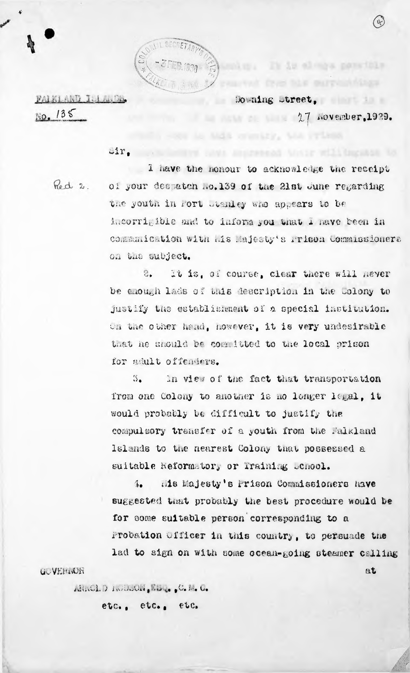

FALKLAND ISLANDS.  $10.135$ 

so aing street.

 $27$  November, 1929.

 $B<sub>L</sub>$ 

It is along panelble

 $\cup$ ir.

Red 2.

I have the honour to acknowledge the receipt of your deepatch no.139 of the 21st June regarding the youth in fort stanley who appears to be incorrigible and to inform you that I maye been in commanication with mis Majesty's rrison Commissioners on the subject.

It is, of course, clear there will hever  $\mathfrak{S}$ be enough lads of this description in the Colony to justify the establishment of a special institution. On the other hand, however, it is very undesirable that he should be committed to the local prison for sault offenders.

 $\mathbb{S}_{\bullet}$ In view of the fact that transportation from one Colony to another is no longer legal, it would probably be difficult to justify the compulsory transfer of a youth from the Falkland Islands to the nearest Colony that possessed a suitable Reformatory or Training Chool.

Mis Majesty's Prison Commissioners have  $4.$ suggested that probably the best procedure would be for some suitable person corresponding to a Probation Officer in this country, to persuade the lad to sign on with some ocean-going steamer calling

G. VENIOR

ARACLD INCORDED EDGE C. M. C.

etc., etc., etc.